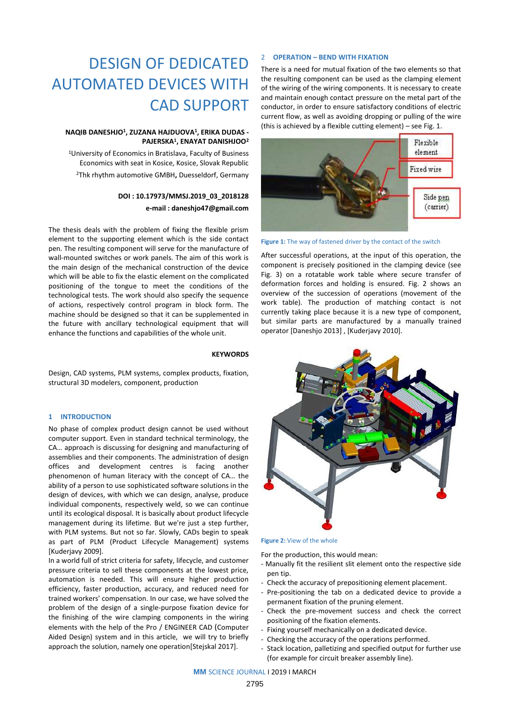# DESIGN OF DEDICATED AUTOMATED DEVICES WITH CAD SUPPORT

# **NAQIB DANESHJO<sup>1</sup> , ZUZANA HAJDUOVA<sup>1</sup> , ERIKA DUDAS - PAJERSKA<sup>1</sup> , ENAYAT DANISHJOO<sup>2</sup>**

<sup>1</sup>University of Economics in Bratislava, Faculty of Business Economics with seat in Kosice, Kosice, Slovak Republic <sup>2</sup>Thk rhythm automotive GMBH**,** Duesseldorf, Germany

# **DOI : 10.17973/MMSJ.2019\_03\_2018128 e-mail : [daneshjo47@gmail.com](mailto:daneshjo47@gmail.com)**

The thesis deals with the problem of fixing the flexible prism element to the supporting element which is the side contact pen. The resulting component will serve for the manufacture of wall-mounted switches or work panels. The aim of this work is the main design of the mechanical construction of the device which will be able to fix the elastic element on the complicated positioning of the tongue to meet the conditions of the technological tests. The work should also specify the sequence of actions, respectively control program in block form. The machine should be designed so that it can be supplemented in the future with ancillary technological equipment that will enhance the functions and capabilities of the whole unit.

# **KEYWORDS**

Design, CAD systems, PLM systems, complex products, fixation, structural 3D modelers, component, production

# **1 INTRODUCTION**

No phase of complex product design cannot be used without computer support. Even in standard technical terminology, the CA… approach is discussing for designing and manufacturing of assemblies and their components. The administration of design offices and development centres is facing another phenomenon of human literacy with the concept of CA… the ability of a person to use sophisticated software solutions in the design of devices, with which we can design, analyse, produce individual components, respectively weld, so we can continue until its ecological disposal. It is basically about product lifecycle management during its lifetime. But we're just a step further, with PLM systems. But not so far. Slowly, CADs begin to speak as part of PLM (Product Lifecycle Management) systems [Kuderjavy 2009].

In a world full of strict criteria for safety, lifecycle, and customer pressure criteria to sell these components at the lowest price, automation is needed. This will ensure higher production efficiency, faster production, accuracy, and reduced need for trained workers' compensation. In our case, we have solved the problem of the design of a single-purpose fixation device for the finishing of the wire clamping components in the wiring elements with the help of the Pro / ENGINEER CAD (Computer Aided Design) system and in this article, we will try to briefly approach the solution, namely one operation[Stejskal 2017].

# 2 **OPERATION – BEND WITH FIXATION**

There is a need for mutual fixation of the two elements so that the resulting component can be used as the clamping element of the wiring of the wiring components. It is necessary to create and maintain enough contact pressure on the metal part of the conductor, in order to ensure satisfactory conditions of electric current flow, as well as avoiding dropping or pulling of the wire (this is achieved by a flexible cutting element) – see Fig. 1.



**Figure 1:** The way of fastened driver by the contact of the switch

After successful operations, at the input of this operation, the component is precisely positioned in the clamping device (see Fig. 3) on a rotatable work table where secure transfer of deformation forces and holding is ensured. Fig. 2 shows an overview of the succession of operations (movement of the work table). The production of matching contact is not currently taking place because it is a new type of component, but similar parts are manufactured by a manually trained operator [Daneshjo 2013] , [Kuderjavy 2010].



For the production, this would mean:

- Manually fit the resilient slit element onto the respective side pen tip.
- Check the accuracy of prepositioning element placement.
- Pre-positioning the tab on a dedicated device to provide a permanent fixation of the pruning element.
- Check the pre-movement success and check the correct positioning of the fixation elements.
- Fixing yourself mechanically on a dedicated device.
- Checking the accuracy of the operations performed.
- Stack location, palletizing and specified output for further use (for example for circuit breaker assembly line).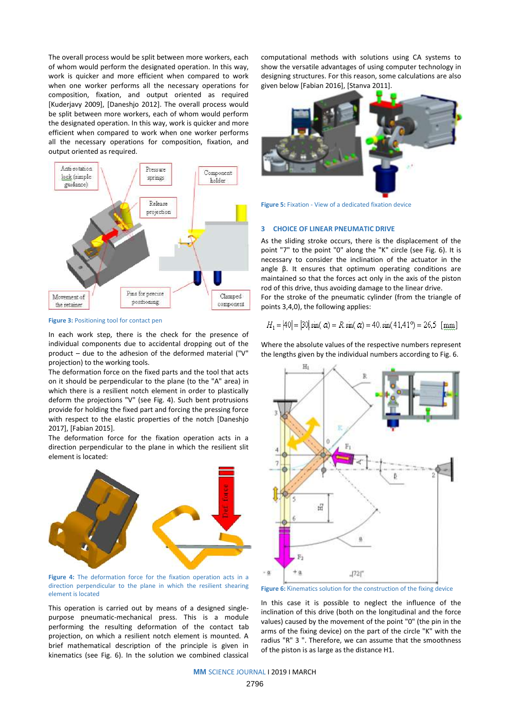The overall process would be split between more workers, each of whom would perform the designated operation. In this way, work is quicker and more efficient when compared to work when one worker performs all the necessary operations for composition, fixation, and output oriented as required [Kuderjavy 2009], [Daneshjo 2012]. The overall process would be split between more workers, each of whom would perform the designated operation. In this way, work is quicker and more efficient when compared to work when one worker performs all the necessary operations for composition, fixation, and output oriented as required.



**Figure 3:** Positioning tool for contact pen

In each work step, there is the check for the presence of individual components due to accidental dropping out of the product – due to the adhesion of the deformed material ("V" projection) to the working tools.

The deformation force on the fixed parts and the tool that acts on it should be perpendicular to the plane (to the "A" area) in which there is a resilient notch element in order to plastically deform the projections "V" (see Fig. 4). Such bent protrusions provide for holding the fixed part and forcing the pressing force with respect to the elastic properties of the notch [Daneshjo 2017], [Fabian 2015].

The deformation force for the fixation operation acts in a direction perpendicular to the plane in which the resilient slit element is located:



**Figure 4:** The deformation force for the fixation operation acts in a direction perpendicular to the plane in which the resilient shearing element is located

This operation is carried out by means of a designed singlepurpose pneumatic-mechanical press. This is a module performing the resulting deformation of the contact tab projection, on which a resilient notch element is mounted. A brief mathematical description of the principle is given in kinematics (see Fig. 6). In the solution we combined classical

computational methods with solutions using CA systems to show the versatile advantages of using computer technology in designing structures. For this reason, some calculations are also given below [Fabian 2016], [Stanva 2011].





# **3 CHOICE OF LINEAR PNEUMATIC DRIVE**

As the sliding stroke occurs, there is the displacement of the point "7" to the point "0" along the "K" circle (see Fig. 6). It is necessary to consider the inclination of the actuator in the angle β. It ensures that optimum operating conditions are maintained so that the forces act only in the axis of the piston rod of this drive, thus avoiding damage to the linear drive.

For the stroke of the pneumatic cylinder (from the triangle of points 3,4,0), the following applies:

$$
H_1 = |40| = |30| \sin(\alpha) = R \sin(\alpha) = 40 \sin(41.41^{\circ}) = 26.5 \text{ [mm]}
$$

Where the absolute values of the respective numbers represent the lengths given by the individual numbers according to Fig. 6.



**Figure 6:** Kinematics solution for the construction of the fixing device

In this case it is possible to neglect the influence of the inclination of this drive (both on the longitudinal and the force values) caused by the movement of the point "0" (the pin in the arms of the fixing device) on the part of the circle "K" with the radius "R" 3 ". Therefore, we can assume that the smoothness of the piston is as large as the distance H1.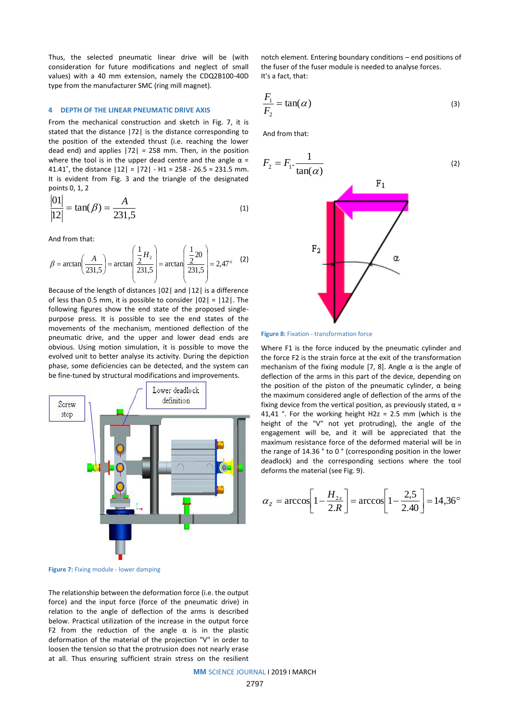Thus, the selected pneumatic linear drive will be (with consideration for future modifications and neglect of small values) with a 40 mm extension, namely the CDQ2B100-40D type from the manufacturer SMC (ring mill magnet).

# **4 DEPTH OF THE LINEAR PNEUMATIC DRIVE AXIS**

From the mechanical construction and sketch in Fig. 7, it is stated that the distance |72| is the distance corresponding to the position of the extended thrust (i.e. reaching the lower dead end) and applies  $|72| = 258$  mm. Then, in the position where the tool is in the upper dead centre and the angle  $\alpha$  = 41.41 $^{\circ}$ , the distance  $|12| = |72| - H1 = 258 - 26.5 = 231.5$  mm. It is evident from Fig. 3 and the triangle of the designated points 0, 1, 2

$$
\frac{|01|}{|12|} = \tan(\beta) = \frac{A}{231.5}
$$
 (1)

And from that:

$$
\beta = \arctan\left(\frac{A}{231,5}\right) = \arctan\left(\frac{\frac{1}{2}H_2}{231,5}\right) = \arctan\left(\frac{\frac{1}{2}20}{231,5}\right) = 2,47^{\circ} \quad (2)
$$

Because of the length of distances |02| and |12| is a difference of less than 0.5 mm, it is possible to consider  $|02| = |12|$ . The following figures show the end state of the proposed singlepurpose press. It is possible to see the end states of the movements of the mechanism, mentioned deflection of the pneumatic drive, and the upper and lower dead ends are obvious. Using motion simulation, it is possible to move the evolved unit to better analyse its activity. During the depiction phase, some deficiencies can be detected, and the system can be fine-tuned by structural modifications and improvements.



**Figure 7:** Fixing module - lower damping

The relationship between the deformation force (i.e. the output force) and the input force (force of the pneumatic drive) in relation to the angle of deflection of the arms is described below. Practical utilization of the increase in the output force F2 from the reduction of the angle  $\alpha$  is in the plastic deformation of the material of the projection "V" in order to loosen the tension so that the protrusion does not nearly erase at all. Thus ensuring sufficient strain stress on the resilient notch element. Entering boundary conditions – end positions of the fuser of the fuser module is needed to analyse forces. It's a fact, that:

$$
\frac{F_1}{F_2} = \tan(\alpha) \tag{3}
$$

And from that:



### **Figure 8:** Fixation - transformation force

Where F1 is the force induced by the pneumatic cylinder and the force F2 is the strain force at the exit of the transformation mechanism of the fixing module [7, 8]. Angle  $\alpha$  is the angle of deflection of the arms in this part of the device, depending on the position of the piston of the pneumatic cylinder,  $α$  being the maximum considered angle of deflection of the arms of the fixing device from the vertical position, as previously stated,  $\alpha$  = 41,41 °. For the working height H2z = 2.5 mm (which is the height of the "V" not yet protruding), the angle of the engagement will be, and it will be appreciated that the maximum resistance force of the deformed material will be in the range of 14.36 ° to 0 ° (corresponding position in the lower deadlock) and the corresponding sections where the tool deforms the material (see Fig. 9).

$$
\alpha_z = \arccos\left[1 - \frac{H_{2z}}{2.R}\right] = \arccos\left[1 - \frac{2.5}{2.40}\right] = 14,36^{\circ}
$$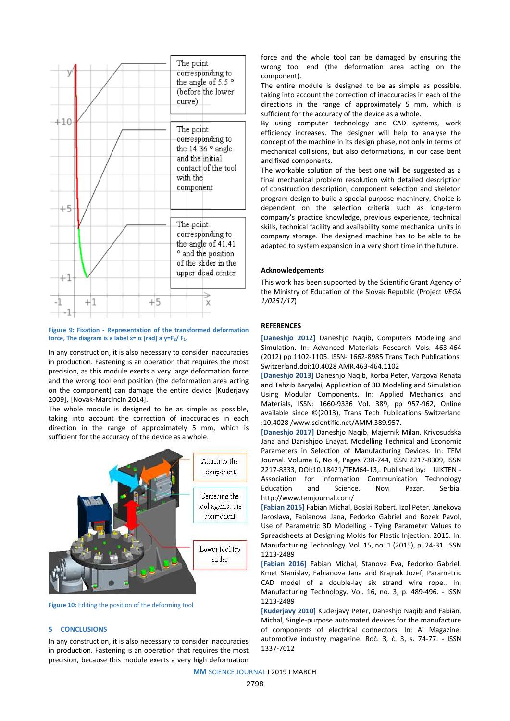

**Figure 9: Fixation - Representation of the transformed deformation force, The diagram is a label**  $x = \alpha$  **[rad] a**  $y = F_2 / F_1$ **.** 

In any construction, it is also necessary to consider inaccuracies in production. Fastening is an operation that requires the most precision, as this module exerts a very large deformation force and the wrong tool end position (the deformation area acting on the component) can damage the entire device [Kuderjavy 2009], [Novak-Marcincin 2014].

The whole module is designed to be as simple as possible, taking into account the correction of inaccuracies in each direction in the range of approximately 5 mm, which is sufficient for the accuracy of the device as a whole.



**Figure 10:** Editing the position of the deforming tool

# **5 CONCLUSIONS**

In any construction, it is also necessary to consider inaccuracies in production. Fastening is an operation that requires the most precision, because this module exerts a very high deformation

force and the whole tool can be damaged by ensuring the wrong tool end (the deformation area acting on the component).

The entire module is designed to be as simple as possible, taking into account the correction of inaccuracies in each of the directions in the range of approximately 5 mm, which is sufficient for the accuracy of the device as a whole.

By using computer technology and CAD systems, work efficiency increases. The designer will help to analyse the concept of the machine in its design phase, not only in terms of mechanical collisions, but also deformations, in our case bent and fixed components.

The workable solution of the best one will be suggested as a final mechanical problem resolution with detailed description of construction description, component selection and skeleton program design to build a special purpose machinery. Choice is dependent on the selection criteria such as long-term company's practice knowledge, previous experience, technical skills, technical facility and availability some mechanical units in company storage. The designed machine has to be able to be adapted to system expansion in a very short time in the future.

# **Acknowledgements**

This work has been supported by the Scientific Grant Agency of the Ministry of Education of the Slovak Republic (Project *VEGA 1/0251/17*)

# **REFERENCES**

**[Daneshjo 2012]** Daneshjo Naqib, Computers Modeling and Simulation. In: Advanced Materials Research Vols. 463-464 (2012) pp 1102-1105. ISSN- 1662-8985 Trans Tech Publications, Switzerland.doi:10.4028 AMR.463-464.1102

**[Daneshjo 2013]** Daneshjo Naqib, Korba Peter, Vargova Renata and Tahzib Baryalai[, Application of 3D Modeling and Simulation](http://www.scientific.net/AMM.389.957)  [Using Modular Components.](http://www.scientific.net/AMM.389.957) In: Applied Mechanics and Materials, ISSN: 1660-9336 Vol. 389, pp 957-962, Online available since ©(2013), Trans Tech Publications Switzerland :10.4028 /www.scientific.net/AMM.389.957.

**[Daneshjo 2017]** Daneshjo Naqib, Majernik Milan, Krivosudska Jana and Danishjoo Enayat. Modelling Technical and Economic Parameters in Selection of Manufacturing Devices. In: TEM Journal. Volume 6, No 4, Pages 738-744, ISSN 2217-8309, ISSN 2217-8333, DOI:10.18421/TEM64-13,. Published by: UIKTEN - Association for Information Communication Technology Education and Science. Novi Pazar, Serbia. <http://www.temjournal.com/>

**[Fabian 2015]** Fabian Michal, Boslai Robert, Izol Peter, Janekova Jaroslava, Fabianova Jana, Fedorko Gabriel and Bozek Pavol, Use of Parametric 3D Modelling - Tying Parameter Values to Spreadsheets at Designing Molds for Plastic Injection. 2015. In: Manufacturing Technology. Vol. 15, no. 1 (2015), p. 24-31. ISSN 1213-2489

**[Fabian 2016]** Fabian Michal, Stanova Eva, Fedorko Gabriel, Kmet Stanislav, Fabianova Jana and Krajnak Jozef, Parametric CAD model of a double-lay six strand wire rope.. In: Manufacturing Technology. Vol. 16, no. 3, p. 489-496. - ISSN 1213-2489

**[Kuderjavy 2010]** Kuderjavy Peter, Daneshjo Naqib and Fabian, Michal, Single-purpose automated devices for the manufacture of components of electrical connectors. In: Ai Magazine: automotive industry magazine. Roč. 3, č. 3, s. 74-77. - ISSN 1337-7612